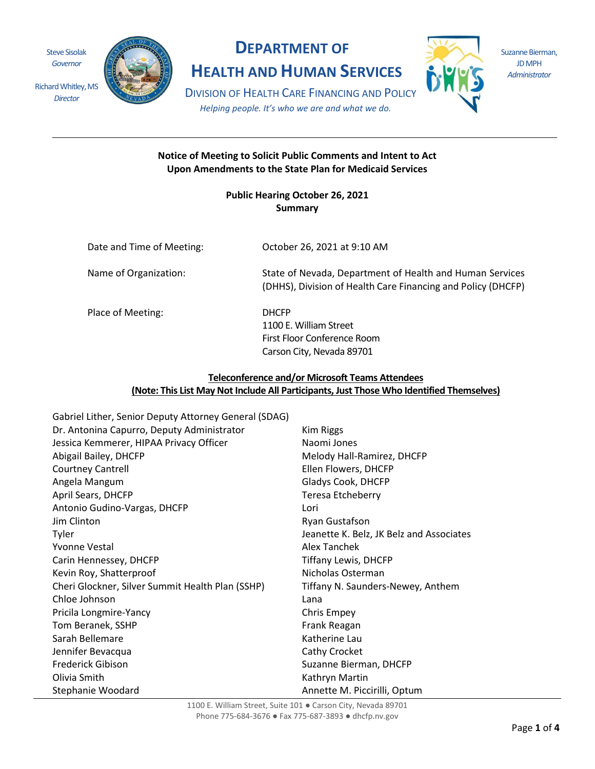

*Director*

Richard Whitley, MS

## **DEPARTMENT OF**

**HEALTH AND HUMAN SERVICES**



Suzanne Bierman, JD MPH *Administrator*

DIVISION OF HEALTH CARE FINANCING AND POLICY *Helping people. It's who we are and what we do.*

#### **Notice of Meeting to Solicit Public Comments and Intent to Act Upon Amendments to the State Plan for Medicaid Services**

**Public Hearing October 26, 2021 Summary** 

| Date and Time of Meeting: | October 26, 2021 at 9:10 AM                                                                                              |
|---------------------------|--------------------------------------------------------------------------------------------------------------------------|
| Name of Organization:     | State of Nevada, Department of Health and Human Services<br>(DHHS), Division of Health Care Financing and Policy (DHCFP) |
| Place of Meeting:         | <b>DHCFP</b><br>1100 E. William Street<br>First Floor Conference Room<br>Carson City, Nevada 89701                       |

#### **Teleconference and/or Microsoft Teams Attendees (Note: This List May Not Include All Participants, Just Those Who Identified Themselves)**

Gabriel Lither, Senior Deputy Attorney General (SDAG) Dr. Antonina Capurro, Deputy Administrator Kim Riggs Jessica Kemmerer, HIPAA Privacy Officer Naomi Jones Abigail Bailey, DHCFP Melody Hall-Ramirez, DHCFP Courtney Cantrell Ellen Flowers, DHCFP Angela Mangum Gladys Cook, DHCFP April Sears, DHCFP Teresa Etcheberry Antonio Gudino-Vargas, DHCFP Lori Jim Clinton **Ryan Gustafson** Tyler **The Internal Community Community** Jeanette K. Belz, JK Belz and Associates Yvonne Vestal Alex Tanchek Carin Hennessey, DHCFP Tiffany Lewis, DHCFP Kevin Roy, Shatterproof Nicholas Osterman Cheri Glockner, Silver Summit Health Plan (SSHP) Tiffany N. Saunders-Newey, Anthem Chloe Johnson Lana Pricila Longmire-Yancy **Chris Empey** Chris Empey Tom Beranek, SSHP Frank Reagan Sarah Bellemare **Katherine Lau** Katherine Lau Jennifer Bevacqua Cathy Crocket Frederick Gibison Suzanne Bierman, DHCFP Olivia Smith **Kathryn Martin** Stephanie Woodard **Annette M. Piccirilli, Optum**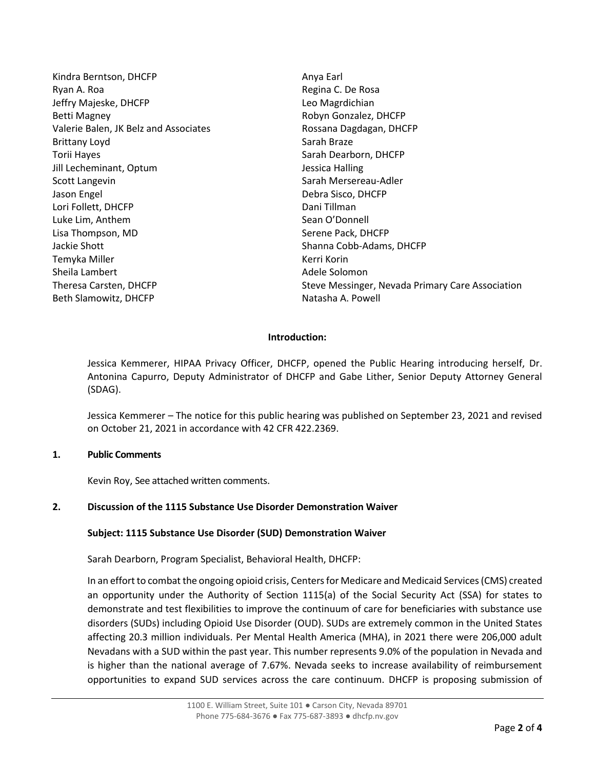Kindra Berntson, DHCFP Anya Earl Ryan A. Roa **Regina C. De Rosa** Jeffry Majeske, DHCFP Leo Magrdichian Betti Magney **Robyn Gonzalez, DHCFP** Robyn Gonzalez, DHCFP Valerie Balen, JK Belz and Associates **Rossana Dagdagan, DHCFP** Brittany Loyd **Sarah Braze** Sarah Braze Torii Hayes **Sarah Dearborn, DHCFP** Sarah Dearborn, DHCFP Jill Lecheminant, Optum Jessica Halling Scott Langevin Scott Langevin Sarah Mersereau-Adler Jason Engel Debra Sisco, DHCFP Lori Follett, DHCFP Dani Tillman Luke Lim, Anthem Sean O'Donnell Lisa Thompson, MD Serene Pack, DHCFP Jackie Shott Shanna Cobb-Adams, DHCFP Temyka Miller Kerri Korin Sheila Lambert **Adele Solomon** Beth Slamowitz, DHCFP Natasha A. Powell

Theresa Carsten, DHCFP Steve Messinger, Nevada Primary Care Association

#### **Introduction:**

Jessica Kemmerer, HIPAA Privacy Officer, DHCFP, opened the Public Hearing introducing herself, Dr. Antonina Capurro, Deputy Administrator of DHCFP and Gabe Lither, Senior Deputy Attorney General (SDAG).

Jessica Kemmerer – The notice for this public hearing was published on September 23, 2021 and revised on October 21, 2021 in accordance with 42 CFR 422.2369.

#### **1. Public Comments**

Kevin Roy, See attached written comments.

#### **2. Discussion of the 1115 Substance Use Disorder Demonstration Waiver**

#### **Subject: 1115 Substance Use Disorder (SUD) Demonstration Waiver**

Sarah Dearborn, Program Specialist, Behavioral Health, DHCFP:

In an effort to combat the ongoing opioid crisis, Centers for Medicare and Medicaid Services (CMS) created an opportunity under the Authority of Section 1115(a) of the Social Security Act (SSA) for states to demonstrate and test flexibilities to improve the continuum of care for beneficiaries with substance use disorders (SUDs) including Opioid Use Disorder (OUD). SUDs are extremely common in the United States affecting 20.3 million individuals. Per Mental Health America (MHA), in 2021 there were 206,000 adult Nevadans with a SUD within the past year. This number represents 9.0% of the population in Nevada and is higher than the national average of 7.67%. Nevada seeks to increase availability of reimbursement opportunities to expand SUD services across the care continuum. DHCFP is proposing submission of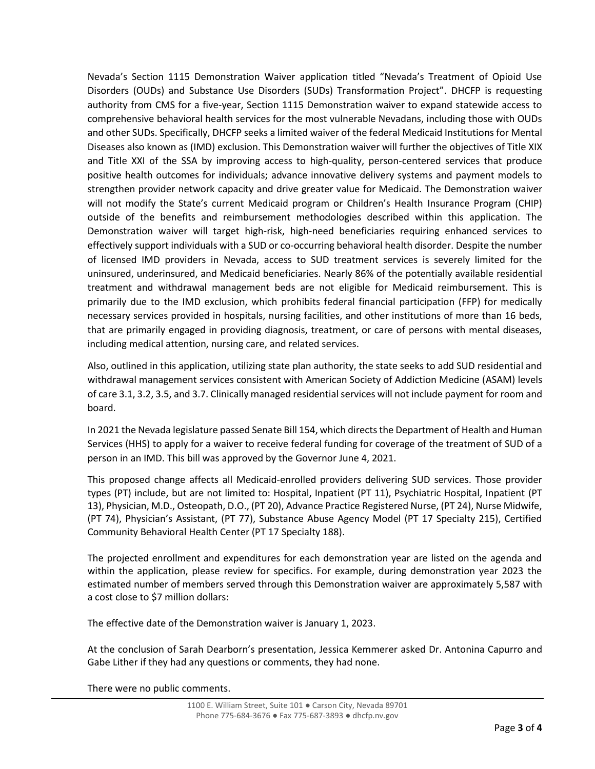Nevada's Section 1115 Demonstration Waiver application titled "Nevada's Treatment of Opioid Use Disorders (OUDs) and Substance Use Disorders (SUDs) Transformation Project". DHCFP is requesting authority from CMS for a five-year, Section 1115 Demonstration waiver to expand statewide access to comprehensive behavioral health services for the most vulnerable Nevadans, including those with OUDs and other SUDs. Specifically, DHCFP seeks a limited waiver of the federal Medicaid Institutions for Mental Diseases also known as (IMD) exclusion. This Demonstration waiver will further the objectives of Title XIX and Title XXI of the SSA by improving access to high-quality, person-centered services that produce positive health outcomes for individuals; advance innovative delivery systems and payment models to strengthen provider network capacity and drive greater value for Medicaid. The Demonstration waiver will not modify the State's current Medicaid program or Children's Health Insurance Program (CHIP) outside of the benefits and reimbursement methodologies described within this application. The Demonstration waiver will target high-risk, high-need beneficiaries requiring enhanced services to effectively support individuals with a SUD or co-occurring behavioral health disorder. Despite the number of licensed IMD providers in Nevada, access to SUD treatment services is severely limited for the uninsured, underinsured, and Medicaid beneficiaries. Nearly 86% of the potentially available residential treatment and withdrawal management beds are not eligible for Medicaid reimbursement. This is primarily due to the IMD exclusion, which prohibits federal financial participation (FFP) for medically necessary services provided in hospitals, nursing facilities, and other institutions of more than 16 beds, that are primarily engaged in providing diagnosis, treatment, or care of persons with mental diseases, including medical attention, nursing care, and related services.

Also, outlined in this application, utilizing state plan authority, the state seeks to add SUD residential and withdrawal management services consistent with American Society of Addiction Medicine (ASAM) levels of care 3.1, 3.2, 3.5, and 3.7. Clinically managed residential services will not include payment for room and board.

In 2021 the Nevada legislature passed Senate Bill 154, which directs the Department of Health and Human Services (HHS) to apply for a waiver to receive federal funding for coverage of the treatment of SUD of a person in an IMD. This bill was approved by the Governor June 4, 2021.

This proposed change affects all Medicaid-enrolled providers delivering SUD services. Those provider types (PT) include, but are not limited to: Hospital, Inpatient (PT 11), Psychiatric Hospital, Inpatient (PT 13), Physician, M.D., Osteopath, D.O., (PT 20), Advance Practice Registered Nurse, (PT 24), Nurse Midwife, (PT 74), Physician's Assistant, (PT 77), Substance Abuse Agency Model (PT 17 Specialty 215), Certified Community Behavioral Health Center (PT 17 Specialty 188).

The projected enrollment and expenditures for each demonstration year are listed on the agenda and within the application, please review for specifics. For example, during demonstration year 2023 the estimated number of members served through this Demonstration waiver are approximately 5,587 with a cost close to \$7 million dollars:

The effective date of the Demonstration waiver is January 1, 2023.

At the conclusion of Sarah Dearborn's presentation, Jessica Kemmerer asked Dr. Antonina Capurro and Gabe Lither if they had any questions or comments, they had none.

There were no public comments.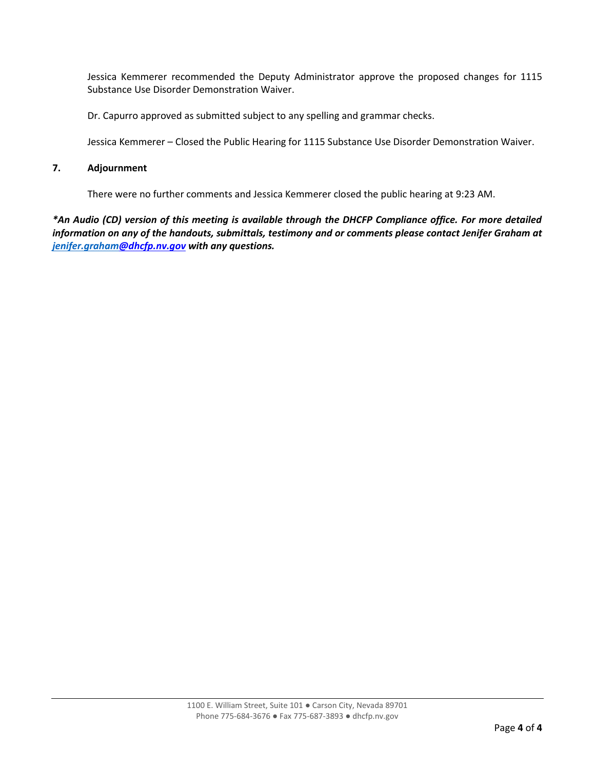Jessica Kemmerer recommended the Deputy Administrator approve the proposed changes for 1115 Substance Use Disorder Demonstration Waiver.

Dr. Capurro approved as submitted subject to any spelling and grammar checks.

Jessica Kemmerer – Closed the Public Hearing for 1115 Substance Use Disorder Demonstration Waiver.

#### **7. Adjournment**

There were no further comments and Jessica Kemmerer closed the public hearing at 9:23 AM.

*\*An Audio (CD) version of this meeting is available through the DHCFP Compliance office. For more detailed information on any of the handouts, submittals, testimony and or comments please contact Jenifer Graham at [jenifer.graham@](mailto:jenifer.graham)dhcfp.nv.gov with any questions.*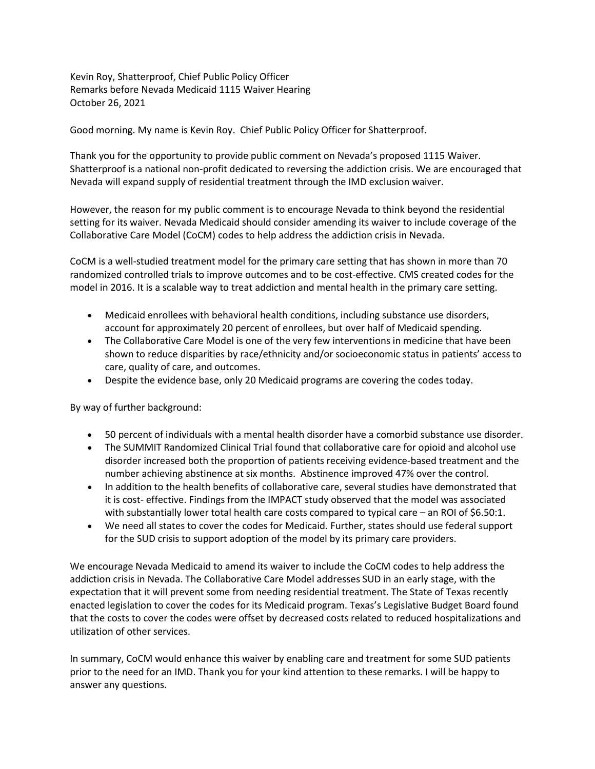Kevin Roy, Shatterproof, Chief Public Policy Officer Remarks before Nevada Medicaid 1115 Waiver Hearing October 26, 2021

Good morning. My name is Kevin Roy. Chief Public Policy Officer for Shatterproof.

Thank you for the opportunity to provide public comment on Nevada's proposed 1115 Waiver. Shatterproof is a national non-profit dedicated to reversing the addiction crisis. We are encouraged that Nevada will expand supply of residential treatment through the IMD exclusion waiver.

However, the reason for my public comment is to encourage Nevada to think beyond the residential setting for its waiver. Nevada Medicaid should consider amending its waiver to include coverage of the Collaborative Care Model (CoCM) codes to help address the addiction crisis in Nevada.

CoCM is a well-studied treatment model for the primary care setting that has shown in more than 70 randomized controlled trials to improve outcomes and to be cost-effective. CMS created codes for the model in 2016. It is a scalable way to treat addiction and mental health in the primary care setting.

- Medicaid enrollees with behavioral health conditions, including substance use disorders, account for approximately 20 percent of enrollees, but over half of Medicaid spending.
- The Collaborative Care Model is one of the very few interventions in medicine that have been shown to reduce disparities by race/ethnicity and/or socioeconomic status in patients' access to care, quality of care, and outcomes.
- Despite the evidence base, only 20 Medicaid programs are covering the codes today.

By way of further background:

- 50 percent of individuals with a mental health disorder have a comorbid substance use disorder.
- The SUMMIT Randomized Clinical Trial found that collaborative care for opioid and alcohol use disorder increased both the proportion of patients receiving evidence-based treatment and the number achieving abstinence at six months. Abstinence improved 47% over the control.
- In addition to the health benefits of collaborative care, several studies have demonstrated that it is cost- effective. Findings from the IMPACT study observed that the model was associated with substantially lower total health care costs compared to typical care – an ROI of \$6.50:1.
- We need all states to cover the codes for Medicaid. Further, states should use federal support for the SUD crisis to support adoption of the model by its primary care providers.

We encourage Nevada Medicaid to amend its waiver to include the CoCM codes to help address the addiction crisis in Nevada. The Collaborative Care Model addresses SUD in an early stage, with the expectation that it will prevent some from needing residential treatment. The State of Texas recently enacted legislation to cover the codes for its Medicaid program. Texas's Legislative Budget Board found that the costs to cover the codes were offset by decreased costs related to reduced hospitalizations and utilization of other services.

In summary, CoCM would enhance this waiver by enabling care and treatment for some SUD patients prior to the need for an IMD. Thank you for your kind attention to these remarks. I will be happy to answer any questions.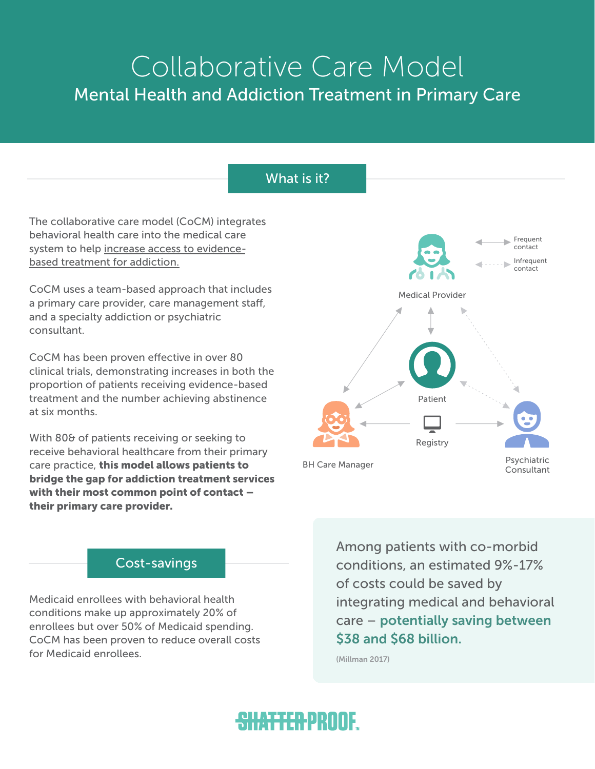# Mental Health and Addiction Treatment in Primary Care Collaborative Care Model

## What is it?

The collaborative care model (CoCM) integrates behavioral health care into the medical care system to help increase access to evidencebased treatment for addiction.

CoCM uses a team-based approach that includes a primary care provider, care management staff, and a specialty addiction or psychiatric consultant.

CoCM has been proven efective in over 80 clinical trials, demonstrating increases in both the proportion of patients receiving evidence-based treatment and the number achieving abstinence at six months.

With 80& of patients receiving or seeking to receive behavioral healthcare from their primary care practice, this model allows patients to bridge the gap for addiction treatment services with their most common point of contact – their primary care provider.



## Cost-savings

Medicaid enrollees with behavioral health conditions make up approximately 20% of enrollees but over 50% of Medicaid spending. CoCM has been proven to reduce overall costs for Medicaid enrollees.

Among patients with co-morbid conditions, an estimated 9%-17% of costs could be saved by integrating medical and behavioral care – potentially saving between \$38 and \$68 billion.

(Millman 2017)

## <del>shatter</del>proof.